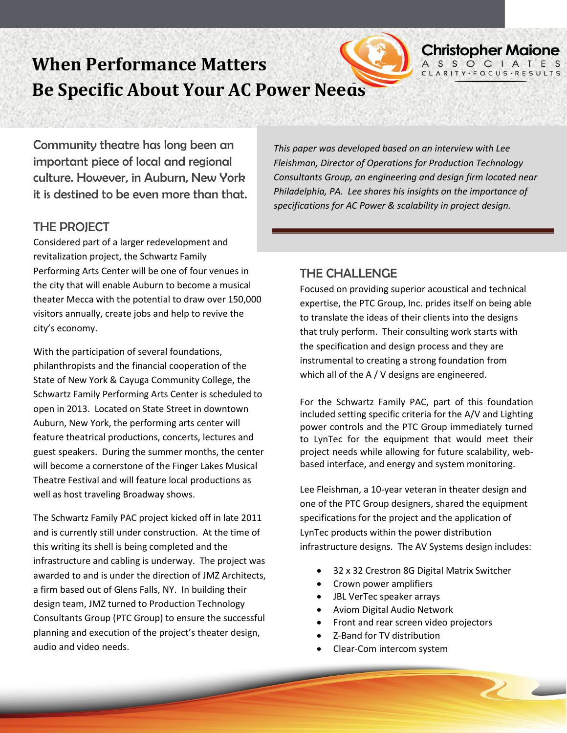

# **When Performance Matters Be Specific About Your AC Power Needs**

Community theatre has long been an important piece of local and regional culture. However, in Auburn, New York it is destined to be even more than that.

#### THE PROJECT

Considered part of a larger redevelopment and revitalization project, the Schwartz Family Performing Arts Center will be one of four venues in the city that will enable Auburn to become a musical theater Mecca with the potential to draw over 150,000 visitors annually, create jobs and help to revive the city's economy.

With the participation of several foundations, philanthropists and the financial cooperation of the State of New York & Cayuga Community College, the Schwartz Family Performing Arts Center is scheduled to open in 2013. Located on State Street in downtown Auburn, New York, the performing arts center will feature theatrical productions, concerts, lectures and guest speakers. During the summer months, the center will become a cornerstone of the Finger Lakes Musical Theatre Festival and will feature local productions as well as host traveling Broadway shows.

The Schwartz Family PAC project kicked off in late 2011 and is currently still under construction. At the time of this writing its shell is being completed and the infrastructure and cabling is underway. The project was awarded to and is under the direction of JMZ Architects, a firm based out of Glens Falls, NY. In building their design team, JMZ turned to Production Technology Consultants Group (PTC Group) to ensure the successful planning and execution of the project's theater design, audio and video needs.

*This paper was developed based on an interview with Lee Fleishman, Director of Operations for Production Technology Consultants Group, an engineering and design firm located near Philadelphia, PA. Lee shares his insights on the importance of specifications for AC Power & scalability in project design.* 

**Christopher Maione** A S S O C I A T E S<br>CLARITY FOCUS RESULTS

### THE CHALLENGE

Focused on providing superior acoustical and technical expertise, the PTC Group, Inc. prides itself on being able to translate the ideas of their clients into the designs that truly perform. Their consulting work starts with the specification and design process and they are instrumental to creating a strong foundation from which all of the A / V designs are engineered.

For the Schwartz Family PAC, part of this foundation included setting specific criteria for the A/V and Lighting power controls and the PTC Group immediately turned to LynTec for the equipment that would meet their project needs while allowing for future scalability, webbased interface, and energy and system monitoring.

Lee Fleishman, a 10-year veteran in theater design and one of the PTC Group designers, shared the equipment specifications for the project and the application of LynTec products within the power distribution infrastructure designs. The AV Systems design includes:

- 32 x 32 Crestron 8G Digital Matrix Switcher
- Crown power amplifiers
- JBL VerTec speaker arrays
- Aviom Digital Audio Network
- Front and rear screen video projectors
- Z-Band for TV distribution
- Clear-Com intercom system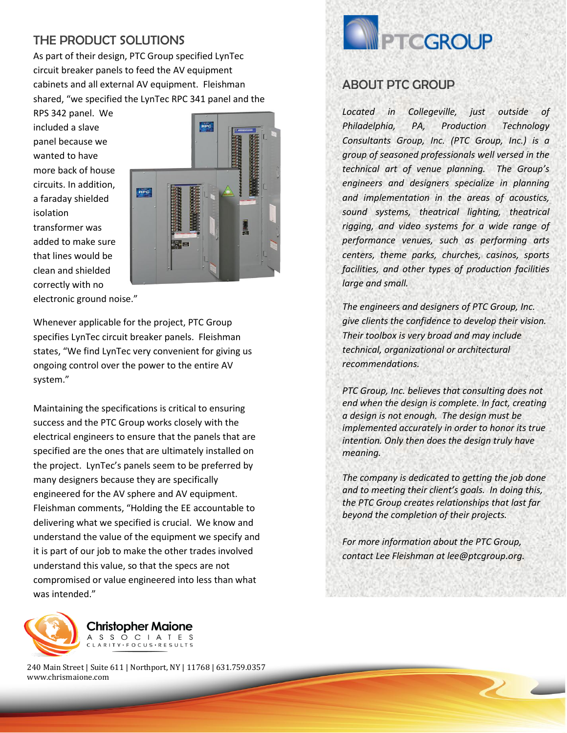### THE PRODUCT SOLUTIONS

As part of their design, PTC Group specified LynTec circuit breaker panels to feed the AV equipment cabinets and all external AV equipment. Fleishman shared, "we specified the LynTec RPC 341 panel and the

RPS 342 panel. We included a slave panel because we wanted to have more back of house circuits. In addition, a faraday shielded isolation transformer was added to make sure that lines would be clean and shielded correctly with no



electronic ground noise."

Whenever applicable for the project, PTC Group specifies LynTec circuit breaker panels. Fleishman states, "We find LynTec very convenient for giving us ongoing control over the power to the entire AV system."

Maintaining the specifications is critical to ensuring success and the PTC Group works closely with the electrical engineers to ensure that the panels that are specified are the ones that are ultimately installed on the project. LynTec's panels seem to be preferred by many designers because they are specifically engineered for the AV sphere and AV equipment. Fleishman comments, "Holding the EE accountable to delivering what we specified is crucial. We know and understand the value of the equipment we specify and it is part of our job to make the other trades involved understand this value, so that the specs are not compromised or value engineered into less than what was intended."



**Christopher Maione** A S S O C I A T E S CLARITY · FOCUS · RESULTS

240 Main Street | Suite 611 | Northport, NY | 11768 | 631.759.0357 www.chrismaione.com



#### *circuit switching capabilities in the same*  ABOUT PTC GROUP *enclosures. In doing so, the company has always*

*found ways to save space, lower system Located in Collegeville, just outside of installation costs and build trusted relationships Philadelphia, PA, Production Technology with audio system and lighting designers. Its Consultants Group, Inc. (PTC Group, Inc.) is a expansion into electrical and lighting controls, group of seasoned professionals well versed in the and now its growth into expanded lighting technical art of venue planning. The Group's*  engineers and designers specialize in planning *conditioning, and mobile applications continues and implementation in the areas of acoustics, to position the company as a leading resource for sound systems, theatrical lighting, theatrical the AV and lighting industries and an integral rigging, and video systems for a wide range of partner for sustainable energy practices. For more performance venues, such as performing arts information visit www.lyntec.com. centers, theme parks, churches, casinos, sports facilities, and other types of production facilities large and small.* 

*LynTec brings to market electrical protection and* 

*The engineers and designers of PTC Group, Inc. give clients the confidence to develop their vision. Their toolbox is very broad and may include technical, organizational or architectural recommendations.* 

*PTC Group, Inc. believes that consulting does not end when the design is complete. In fact, creating a design is not enough. The design must be implemented accurately in order to honor its true intention. Only then does the design truly have meaning.*

*The company is dedicated to getting the job done and to meeting their client's goals. In doing this, the PTC Group creates relationships that last far beyond the completion of their projects.* 

*For more information about the PTC Group, contact Lee Fleishman at lee@ptcgroup.org.*